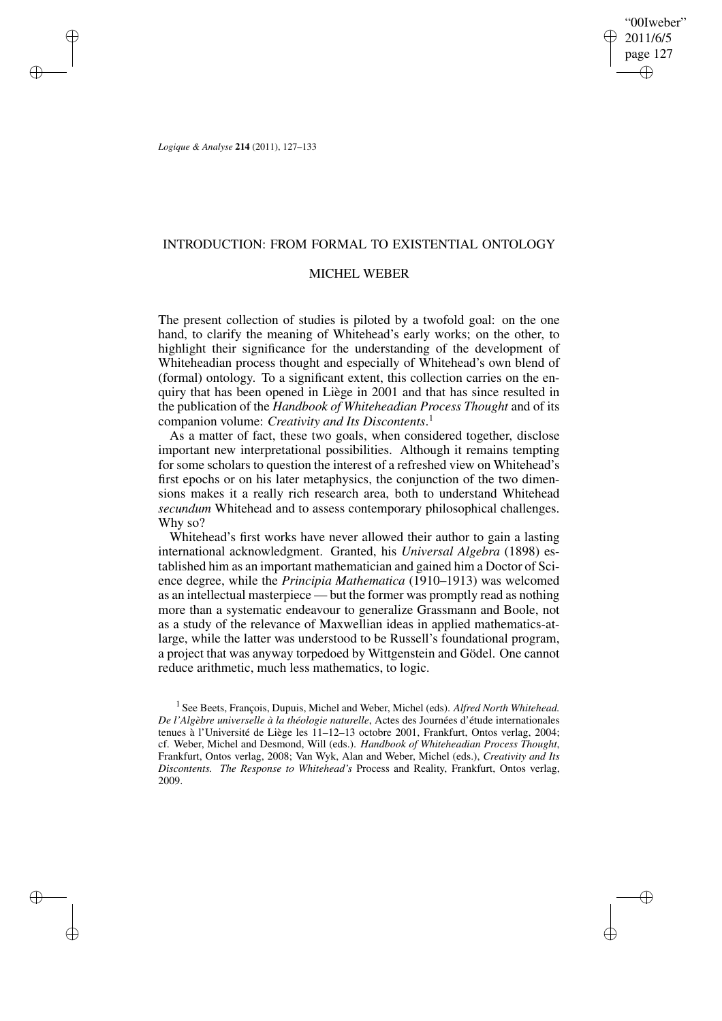"00Iweber" 2011/6/5 page 127 ✐ ✐

✐

✐

*Logique & Analyse* **214** (2011), 127–133

 $\rightarrow$ 

 $\rightarrow$ 

✐

✐

## INTRODUCTION: FROM FORMAL TO EXISTENTIAL ONTOLOGY

# MICHEL WEBER

The present collection of studies is piloted by a twofold goal: on the one hand, to clarify the meaning of Whitehead's early works; on the other, to highlight their significance for the understanding of the development of Whiteheadian process thought and especially of Whitehead's own blend of (formal) ontology. To a significant extent, this collection carries on the enquiry that has been opened in Liège in 2001 and that has since resulted in the publication of the *Handbook of Whiteheadian Process Thought* and of its companion volume: *Creativity and Its Discontents*. 1

As a matter of fact, these two goals, when considered together, disclose important new interpretational possibilities. Although it remains tempting for some scholars to question the interest of a refreshed view on Whitehead's first epochs or on his later metaphysics, the conjunction of the two dimensions makes it a really rich research area, both to understand Whitehead *secundum* Whitehead and to assess contemporary philosophical challenges. Why so?

Whitehead's first works have never allowed their author to gain a lasting international acknowledgment. Granted, his *Universal Algebra* (1898) established him as an important mathematician and gained him a Doctor of Science degree, while the *Principia Mathematica* (1910–1913) was welcomed as an intellectual masterpiece — but the former was promptly read as nothing more than a systematic endeavour to generalize Grassmann and Boole, not as a study of the relevance of Maxwellian ideas in applied mathematics-atlarge, while the latter was understood to be Russell's foundational program, a project that was anyway torpedoed by Wittgenstein and Gödel. One cannot reduce arithmetic, much less mathematics, to logic.

1 See Beets, François, Dupuis, Michel and Weber, Michel (eds). *Alfred North Whitehead. De l'Algèbre universelle à la théologie naturelle*, Actes des Journées d'étude internationales tenues à l'Université de Liège les 11–12–13 octobre 2001, Frankfurt, Ontos verlag, 2004; cf. Weber, Michel and Desmond, Will (eds.). *Handbook of Whiteheadian Process Thought*, Frankfurt, Ontos verlag, 2008; Van Wyk, Alan and Weber, Michel (eds.), *Creativity and Its Discontents. The Response to Whitehead's* Process and Reality, Frankfurt, Ontos verlag, 2009.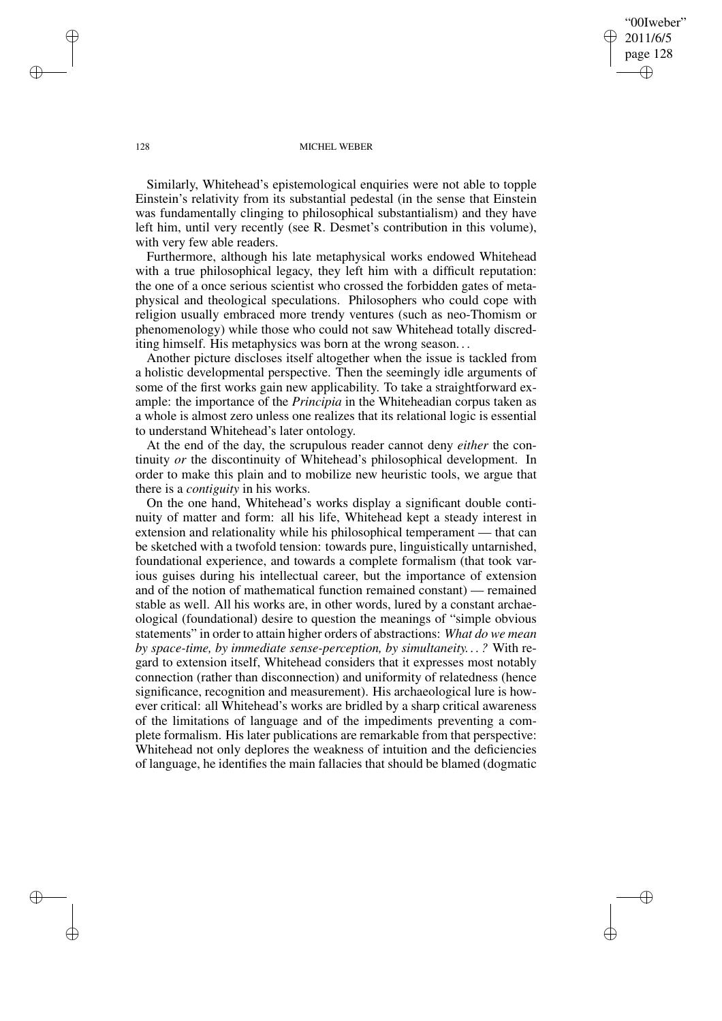"00Iweber" 2011/6/5 page 128 ✐ ✐

✐

✐

#### 128 MICHEL WEBER

Similarly, Whitehead's epistemological enquiries were not able to topple Einstein's relativity from its substantial pedestal (in the sense that Einstein was fundamentally clinging to philosophical substantialism) and they have left him, until very recently (see R. Desmet's contribution in this volume), with very few able readers.

Furthermore, although his late metaphysical works endowed Whitehead with a true philosophical legacy, they left him with a difficult reputation: the one of a once serious scientist who crossed the forbidden gates of metaphysical and theological speculations. Philosophers who could cope with religion usually embraced more trendy ventures (such as neo-Thomism or phenomenology) while those who could not saw Whitehead totally discrediting himself. His metaphysics was born at the wrong season. . .

Another picture discloses itself altogether when the issue is tackled from a holistic developmental perspective. Then the seemingly idle arguments of some of the first works gain new applicability. To take a straightforward example: the importance of the *Principia* in the Whiteheadian corpus taken as a whole is almost zero unless one realizes that its relational logic is essential to understand Whitehead's later ontology.

At the end of the day, the scrupulous reader cannot deny *either* the continuity *or* the discontinuity of Whitehead's philosophical development. In order to make this plain and to mobilize new heuristic tools, we argue that there is a *contiguity* in his works.

On the one hand, Whitehead's works display a significant double continuity of matter and form: all his life, Whitehead kept a steady interest in extension and relationality while his philosophical temperament — that can be sketched with a twofold tension: towards pure, linguistically untarnished, foundational experience, and towards a complete formalism (that took various guises during his intellectual career, but the importance of extension and of the notion of mathematical function remained constant) — remained stable as well. All his works are, in other words, lured by a constant archaeological (foundational) desire to question the meanings of "simple obvious statements" in order to attain higher orders of abstractions: *What do we mean by space-time, by immediate sense-perception, by simultaneity. . . ?* With regard to extension itself, Whitehead considers that it expresses most notably connection (rather than disconnection) and uniformity of relatedness (hence significance, recognition and measurement). His archaeological lure is however critical: all Whitehead's works are bridled by a sharp critical awareness of the limitations of language and of the impediments preventing a complete formalism. His later publications are remarkable from that perspective: Whitehead not only deplores the weakness of intuition and the deficiencies of language, he identifies the main fallacies that should be blamed (dogmatic

 $\rightarrow$ 

 $\rightarrow$ 

✐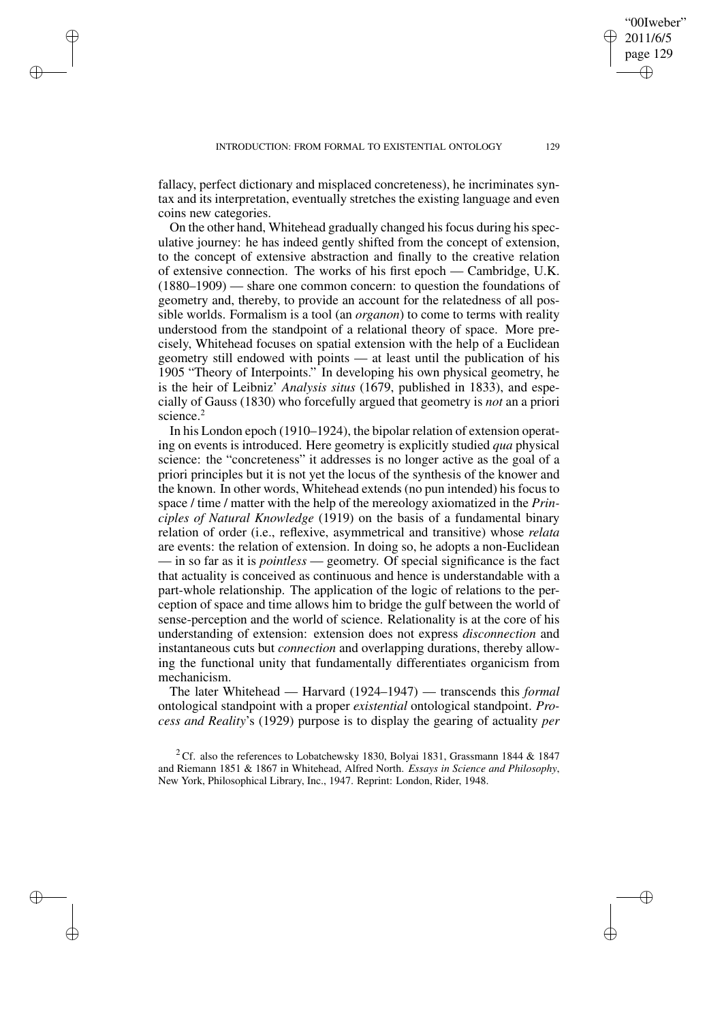$\rightarrow$ 

✐

✐

✐

fallacy, perfect dictionary and misplaced concreteness), he incriminates syntax and its interpretation, eventually stretches the existing language and even coins new categories.

On the other hand, Whitehead gradually changed his focus during his speculative journey: he has indeed gently shifted from the concept of extension, to the concept of extensive abstraction and finally to the creative relation of extensive connection. The works of his first epoch — Cambridge, U.K. (1880–1909) — share one common concern: to question the foundations of geometry and, thereby, to provide an account for the relatedness of all possible worlds. Formalism is a tool (an *organon*) to come to terms with reality understood from the standpoint of a relational theory of space. More precisely, Whitehead focuses on spatial extension with the help of a Euclidean geometry still endowed with points — at least until the publication of his 1905 "Theory of Interpoints." In developing his own physical geometry, he is the heir of Leibniz' *Analysis situs* (1679, published in 1833), and especially of Gauss (1830) who forcefully argued that geometry is *not* an a priori science.<sup>2</sup>

In his London epoch (1910–1924), the bipolar relation of extension operating on events is introduced. Here geometry is explicitly studied *qua* physical science: the "concreteness" it addresses is no longer active as the goal of a priori principles but it is not yet the locus of the synthesis of the knower and the known. In other words, Whitehead extends (no pun intended) his focus to space / time / matter with the help of the mereology axiomatized in the *Principles of Natural Knowledge* (1919) on the basis of a fundamental binary relation of order (i.e., reflexive, asymmetrical and transitive) whose *relata* are events: the relation of extension. In doing so, he adopts a non-Euclidean — in so far as it is *pointless* — geometry. Of special significance is the fact that actuality is conceived as continuous and hence is understandable with a part-whole relationship. The application of the logic of relations to the perception of space and time allows him to bridge the gulf between the world of sense-perception and the world of science. Relationality is at the core of his understanding of extension: extension does not express *disconnection* and instantaneous cuts but *connection* and overlapping durations, thereby allowing the functional unity that fundamentally differentiates organicism from mechanicism.

The later Whitehead — Harvard (1924–1947) — transcends this *formal* ontological standpoint with a proper *existential* ontological standpoint. *Process and Reality*'s (1929) purpose is to display the gearing of actuality *per*

"00Iweber" 2011/6/5 page 129

✐

✐

✐

<sup>&</sup>lt;sup>2</sup> Cf. also the references to Lobatchewsky 1830, Bolyai 1831, Grassmann 1844 & 1847 and Riemann 1851 & 1867 in Whitehead, Alfred North. *Essays in Science and Philosophy*, New York, Philosophical Library, Inc., 1947. Reprint: London, Rider, 1948.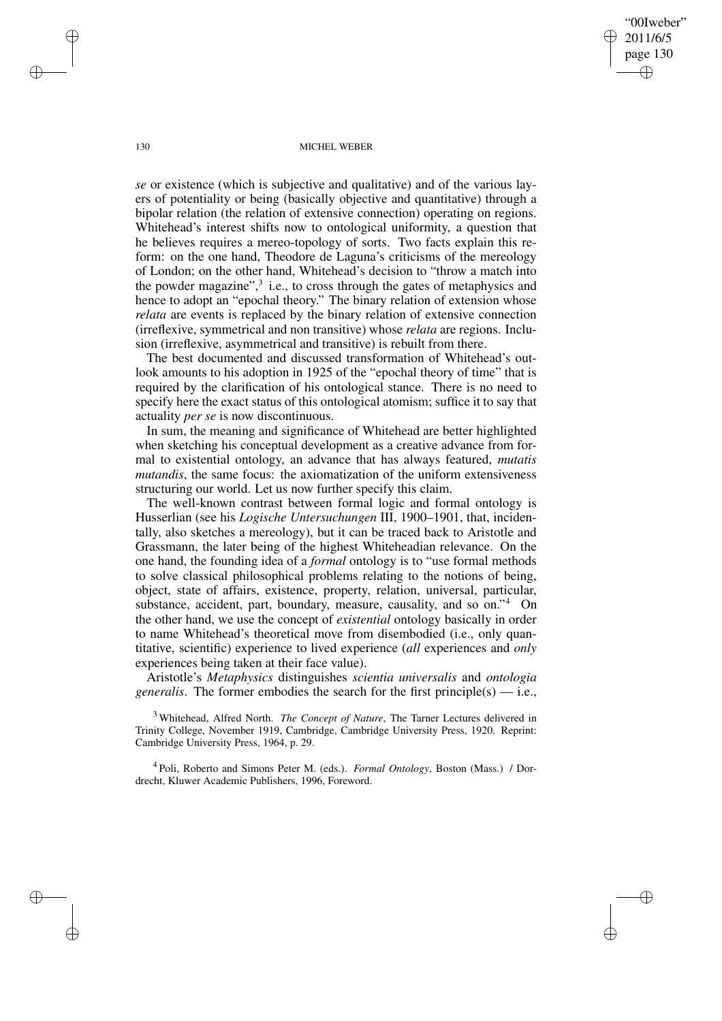"00Iweber" 2011/6/5 page 130 ✐ ✐

✐

✐

#### 130 MICHEL WEBER

*se* or existence (which is subjective and qualitative) and of the various layers of potentiality or being (basically objective and quantitative) through a bipolar relation (the relation of extensive connection) operating on regions. Whitehead's interest shifts now to ontological uniformity, a question that he believes requires a mereo-topology of sorts. Two facts explain this reform: on the one hand, Theodore de Laguna's criticisms of the mereology of London; on the other hand, Whitehead's decision to "throw a match into the powder magazine", $3$  i.e., to cross through the gates of metaphysics and hence to adopt an "epochal theory." The binary relation of extension whose *relata* are events is replaced by the binary relation of extensive connection (irreflexive, symmetrical and non transitive) whose *relata* are regions. Inclusion (irreflexive, asymmetrical and transitive) is rebuilt from there.

The best documented and discussed transformation of Whitehead's outlook amounts to his adoption in 1925 of the "epochal theory of time" that is required by the clarification of his ontological stance. There is no need to specify here the exact status of this ontological atomism; suffice it to say that actuality *per se* is now discontinuous.

In sum, the meaning and significance of Whitehead are better highlighted when sketching his conceptual development as a creative advance from formal to existential ontology, an advance that has always featured, *mutatis mutandis*, the same focus: the axiomatization of the uniform extensiveness structuring our world. Let us now further specify this claim.

The well-known contrast between formal logic and formal ontology is Husserlian (see his *Logische Untersuchungen* III, 1900–1901, that, incidentally, also sketches a mereology), but it can be traced back to Aristotle and Grassmann, the later being of the highest Whiteheadian relevance. On the one hand, the founding idea of a *formal* ontology is to "use formal methods to solve classical philosophical problems relating to the notions of being, object, state of affairs, existence, property, relation, universal, particular, substance, accident, part, boundary, measure, causality, and so on."<sup>4</sup> On the other hand, we use the concept of *existential* ontology basically in order to name Whitehead's theoretical move from disembodied (i.e., only quantitative, scientific) experience to lived experience (*all* experiences and *only* experiences being taken at their face value).

Aristotle's *Metaphysics* distinguishes *scientia universalis* and *ontologia generalis*. The former embodies the search for the first principle(s)  $-$  i.e.,

<sup>3</sup> Whitehead, Alfred North. *The Concept of Nature*, The Tarner Lectures delivered in Trinity College, November 1919, Cambridge, Cambridge University Press, 1920. Reprint: Cambridge University Press, 1964, p. 29.

4 Poli, Roberto and Simons Peter M. (eds.). *Formal Ontology*, Boston (Mass.) / Dordrecht, Kluwer Academic Publishers, 1996, Foreword.

✐

✐

✐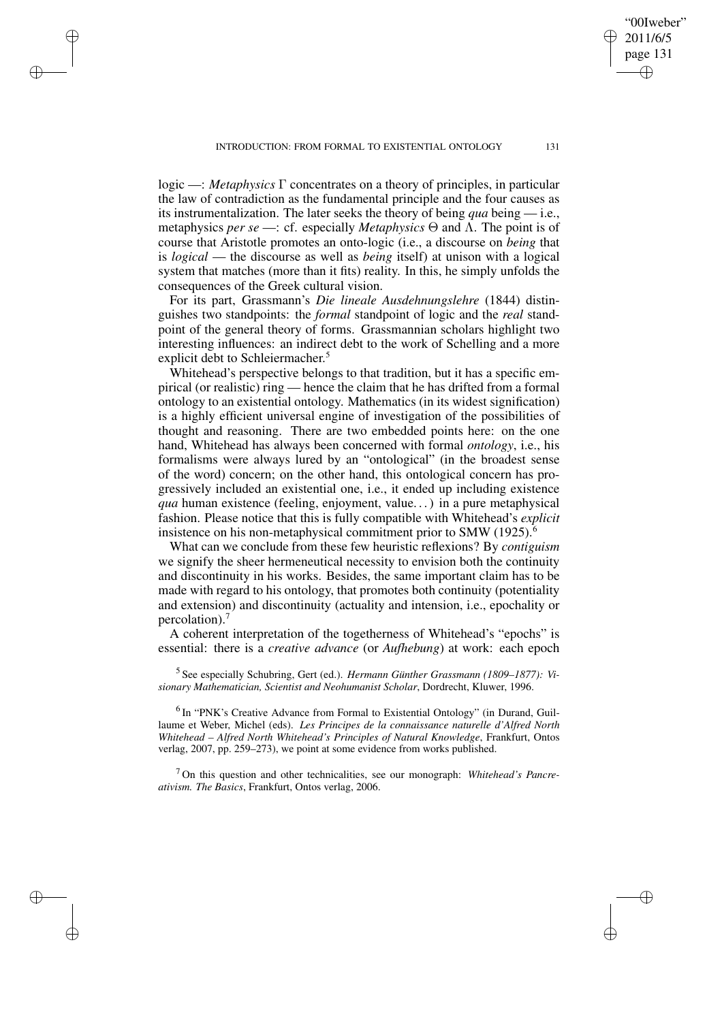✐

✐

✐

✐

logic —: *Metaphysics* Γ concentrates on a theory of principles, in particular the law of contradiction as the fundamental principle and the four causes as its instrumentalization. The later seeks the theory of being *qua* being — i.e., metaphysics *per se* —: cf. especially *Metaphysics* Θ and Λ. The point is of course that Aristotle promotes an onto-logic (i.e., a discourse on *being* that is *logical* — the discourse as well as *being* itself) at unison with a logical system that matches (more than it fits) reality. In this, he simply unfolds the consequences of the Greek cultural vision.

For its part, Grassmann's *Die lineale Ausdehnungslehre* (1844) distinguishes two standpoints: the *formal* standpoint of logic and the *real* standpoint of the general theory of forms. Grassmannian scholars highlight two interesting influences: an indirect debt to the work of Schelling and a more explicit debt to Schleiermacher.<sup>5</sup>

Whitehead's perspective belongs to that tradition, but it has a specific empirical (or realistic) ring — hence the claim that he has drifted from a formal ontology to an existential ontology. Mathematics (in its widest signification) is a highly efficient universal engine of investigation of the possibilities of thought and reasoning. There are two embedded points here: on the one hand, Whitehead has always been concerned with formal *ontology*, i.e., his formalisms were always lured by an "ontological" (in the broadest sense of the word) concern; on the other hand, this ontological concern has progressively included an existential one, i.e., it ended up including existence *qua* human existence (feeling, enjoyment, value. . .) in a pure metaphysical fashion. Please notice that this is fully compatible with Whitehead's *explicit* insistence on his non-metaphysical commitment prior to SMW (1925).<sup>6</sup>

What can we conclude from these few heuristic reflexions? By *contiguism* we signify the sheer hermeneutical necessity to envision both the continuity and discontinuity in his works. Besides, the same important claim has to be made with regard to his ontology, that promotes both continuity (potentiality and extension) and discontinuity (actuality and intension, i.e., epochality or percolation).<sup>7</sup>

A coherent interpretation of the togetherness of Whitehead's "epochs" is essential: there is a *creative advance* (or *Aufhebung*) at work: each epoch

5 See especially Schubring, Gert (ed.). *Hermann Günther Grassmann (1809–1877): Visionary Mathematician, Scientist and Neohumanist Scholar*, Dordrecht, Kluwer, 1996.

<sup>6</sup> In "PNK's Creative Advance from Formal to Existential Ontology" (in Durand, Guillaume et Weber, Michel (eds). *Les Principes de la connaissance naturelle d'Alfred North Whitehead – Alfred North Whitehead's Principles of Natural Knowledge*, Frankfurt, Ontos verlag, 2007, pp. 259–273), we point at some evidence from works published.

<sup>7</sup> On this question and other technicalities, see our monograph: *Whitehead's Pancreativism. The Basics*, Frankfurt, Ontos verlag, 2006.

"00Iweber" 2011/6/5 page 131

✐

✐

✐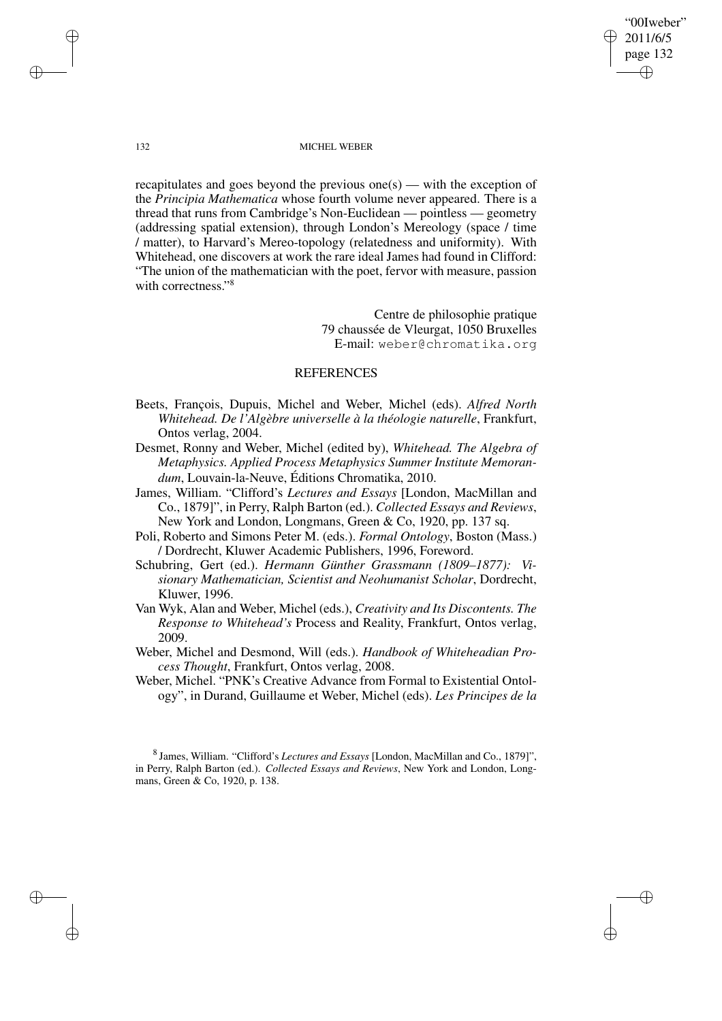"00Iweber" 2011/6/5 page 132 ✐ ✐

✐

✐

### 132 MICHEL WEBER

recapitulates and goes beyond the previous one(s) — with the exception of the *Principia Mathematica* whose fourth volume never appeared. There is a thread that runs from Cambridge's Non-Euclidean — pointless — geometry (addressing spatial extension), through London's Mereology (space / time / matter), to Harvard's Mereo-topology (relatedness and uniformity). With Whitehead, one discovers at work the rare ideal James had found in Clifford: "The union of the mathematician with the poet, fervor with measure, passion with correctness." 8

> Centre de philosophie pratique 79 chaussée de Vleurgat, 1050 Bruxelles E-mail: weber@chromatika.org

## REFERENCES

- Beets, François, Dupuis, Michel and Weber, Michel (eds). *Alfred North Whitehead. De l'Algèbre universelle à la théologie naturelle*, Frankfurt, Ontos verlag, 2004.
- Desmet, Ronny and Weber, Michel (edited by), *Whitehead. The Algebra of Metaphysics. Applied Process Metaphysics Summer Institute Memorandum*, Louvain-la-Neuve, Éditions Chromatika, 2010.
- James, William. "Clifford's *Lectures and Essays* [London, MacMillan and Co., 1879]", in Perry, Ralph Barton (ed.). *Collected Essays and Reviews*, New York and London, Longmans, Green & Co, 1920, pp. 137 sq.
- Poli, Roberto and Simons Peter M. (eds.). *Formal Ontology*, Boston (Mass.) / Dordrecht, Kluwer Academic Publishers, 1996, Foreword.
- Schubring, Gert (ed.). *Hermann Günther Grassmann (1809–1877): Visionary Mathematician, Scientist and Neohumanist Scholar*, Dordrecht, Kluwer, 1996.
- Van Wyk, Alan and Weber, Michel (eds.), *Creativity and Its Discontents. The Response to Whitehead's* Process and Reality, Frankfurt, Ontos verlag, 2009.
- Weber, Michel and Desmond, Will (eds.). *Handbook of Whiteheadian Process Thought*, Frankfurt, Ontos verlag, 2008.
- Weber, Michel. "PNK's Creative Advance from Formal to Existential Ontology", in Durand, Guillaume et Weber, Michel (eds). *Les Principes de la*

8 James, William. "Clifford's *Lectures and Essays* [London, MacMillan and Co., 1879]", in Perry, Ralph Barton (ed.). *Collected Essays and Reviews*, New York and London, Longmans, Green & Co, 1920, p. 138.

✐

✐

✐